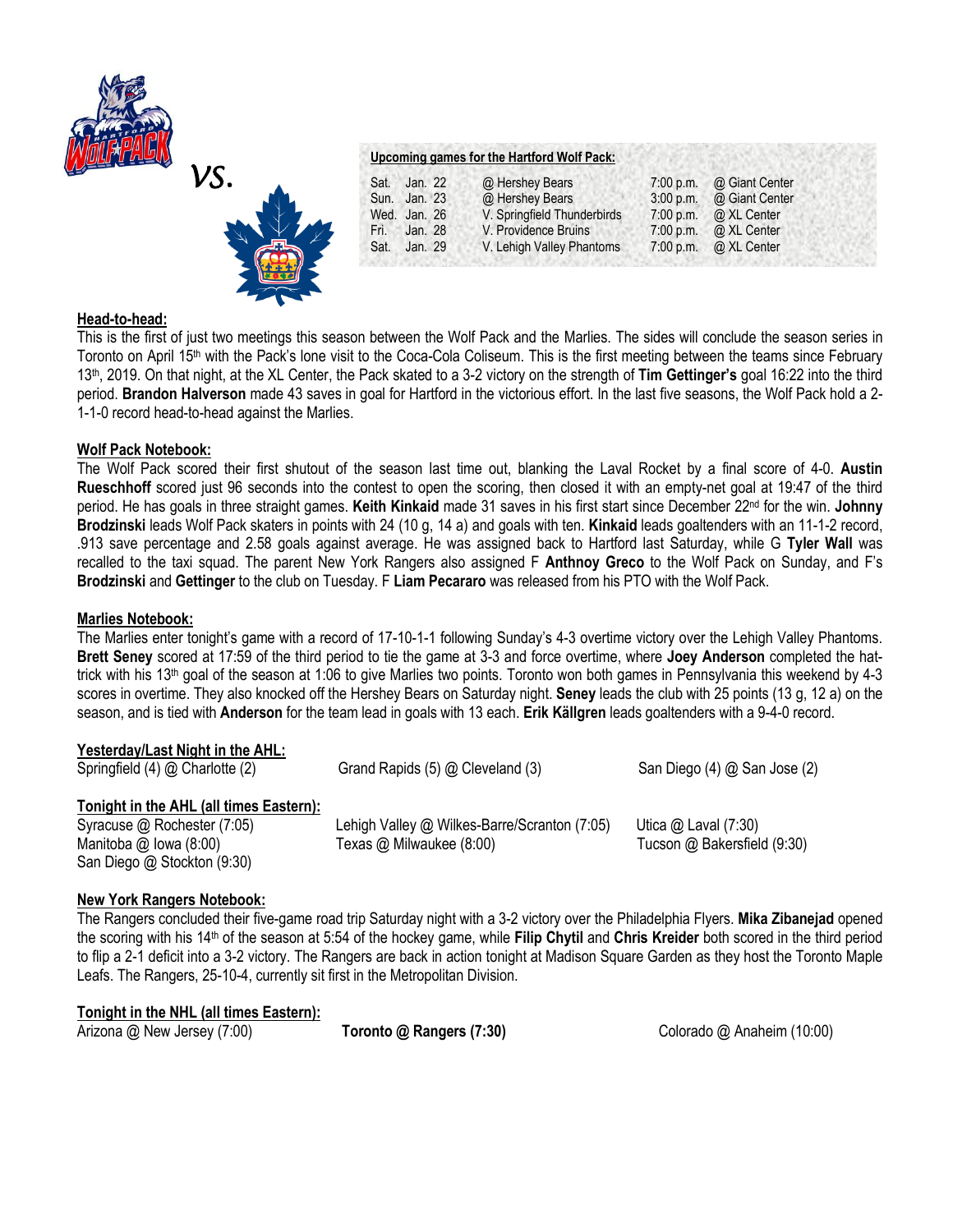



| Upcoming games for the Hartford Wolf Pack: |  |  |  |
|--------------------------------------------|--|--|--|
|                                            |  |  |  |

| Sat. | Jan. 22      | @ Hershey Bears             |             | 7:00 p.m. @ Giant Center     |
|------|--------------|-----------------------------|-------------|------------------------------|
|      | Sun. Jan. 23 | @ Hershey Bears             | $3:00$ p.m. | @ Giant Center               |
|      | Wed. Jan. 26 | V. Springfield Thunderbirds |             | 7:00 p.m. $\omega$ XL Center |
| Fri. | Jan. 28      | V. Providence Bruins        | $7:00$ p.m. | @ XL Center                  |
| Sat. | Jan. 29      | V. Lehigh Valley Phantoms   |             | 7:00 p.m. $\omega$ XL Center |
|      |              |                             |             |                              |

# **Head-to-head:**

This is the first of just two meetings this season between the Wolf Pack and the Marlies. The sides will conclude the season series in Toronto on April 15th with the Pack's lone visit to the Coca-Cola Coliseum. This is the first meeting between the teams since February 13th, 2019. On that night, at the XL Center, the Pack skated to a 3-2 victory on the strength of **Tim Gettinger's** goal 16:22 into the third period. **Brandon Halverson** made 43 saves in goal for Hartford in the victorious effort. In the last five seasons, the Wolf Pack hold a 2- 1-1-0 record head-to-head against the Marlies.

# **Wolf Pack Notebook:**

The Wolf Pack scored their first shutout of the season last time out, blanking the Laval Rocket by a final score of 4-0. **Austin Rueschhoff** scored just 96 seconds into the contest to open the scoring, then closed it with an empty-net goal at 19:47 of the third period. He has goals in three straight games. **Keith Kinkaid** made 31 saves in his first start since December 22nd for the win. **Johnny Brodzinski** leads Wolf Pack skaters in points with 24 (10 g, 14 a) and goals with ten. **Kinkaid** leads goaltenders with an 11-1-2 record, .913 save percentage and 2.58 goals against average. He was assigned back to Hartford last Saturday, while G **Tyler Wall** was recalled to the taxi squad. The parent New York Rangers also assigned F **Anthnoy Greco** to the Wolf Pack on Sunday, and F's **Brodzinski** and **Gettinger** to the club on Tuesday. F **Liam Pecararo** was released from his PTO with the Wolf Pack.

### **Marlies Notebook:**

The Marlies enter tonight's game with a record of 17-10-1-1 following Sunday's 4-3 overtime victory over the Lehigh Valley Phantoms. **Brett Seney** scored at 17:59 of the third period to tie the game at 3-3 and force overtime, where **Joey Anderson** completed the hattrick with his 13<sup>th</sup> goal of the season at 1:06 to give Marlies two points. Toronto won both games in Pennsylvania this weekend by 4-3 scores in overtime. They also knocked off the Hershey Bears on Saturday night. **Seney** leads the club with 25 points (13 g, 12 a) on the season, and is tied with **Anderson** for the team lead in goals with 13 each. **Erik Källgren** leads goaltenders with a 9-4-0 record.

| Yesterday/Last Night in the AHL:<br>Springfield (4) @ Charlotte (2)                                                                 | Grand Rapids (5) @ Cleveland (3)                                         | San Diego (4) @ San Jose (2)                          |
|-------------------------------------------------------------------------------------------------------------------------------------|--------------------------------------------------------------------------|-------------------------------------------------------|
| Tonight in the AHL (all times Eastern):<br>Syracuse @ Rochester (7:05)<br>Manitoba $@$ lowa $(8:00)$<br>San Diego @ Stockton (9:30) | Lehigh Valley @ Wilkes-Barre/Scranton (7:05)<br>Texas @ Milwaukee (8:00) | Utica $@$ Laval (7:30)<br>Tucson @ Bakersfield (9:30) |

# **New York Rangers Notebook:**

The Rangers concluded their five-game road trip Saturday night with a 3-2 victory over the Philadelphia Flyers. **Mika Zibanejad** opened the scoring with his 14th of the season at 5:54 of the hockey game, while **Filip Chytil** and **Chris Kreider** both scored in the third period to flip a 2-1 deficit into a 3-2 victory. The Rangers are back in action tonight at Madison Square Garden as they host the Toronto Maple Leafs. The Rangers, 25-10-4, currently sit first in the Metropolitan Division.

| Tonight in the NHL (all times Eastern): |  |  |
|-----------------------------------------|--|--|
|                                         |  |  |

Arizona @ New Jersey (7:00) **Toronto @ Rangers (7:30)** Colorado @ Anaheim (10:00)